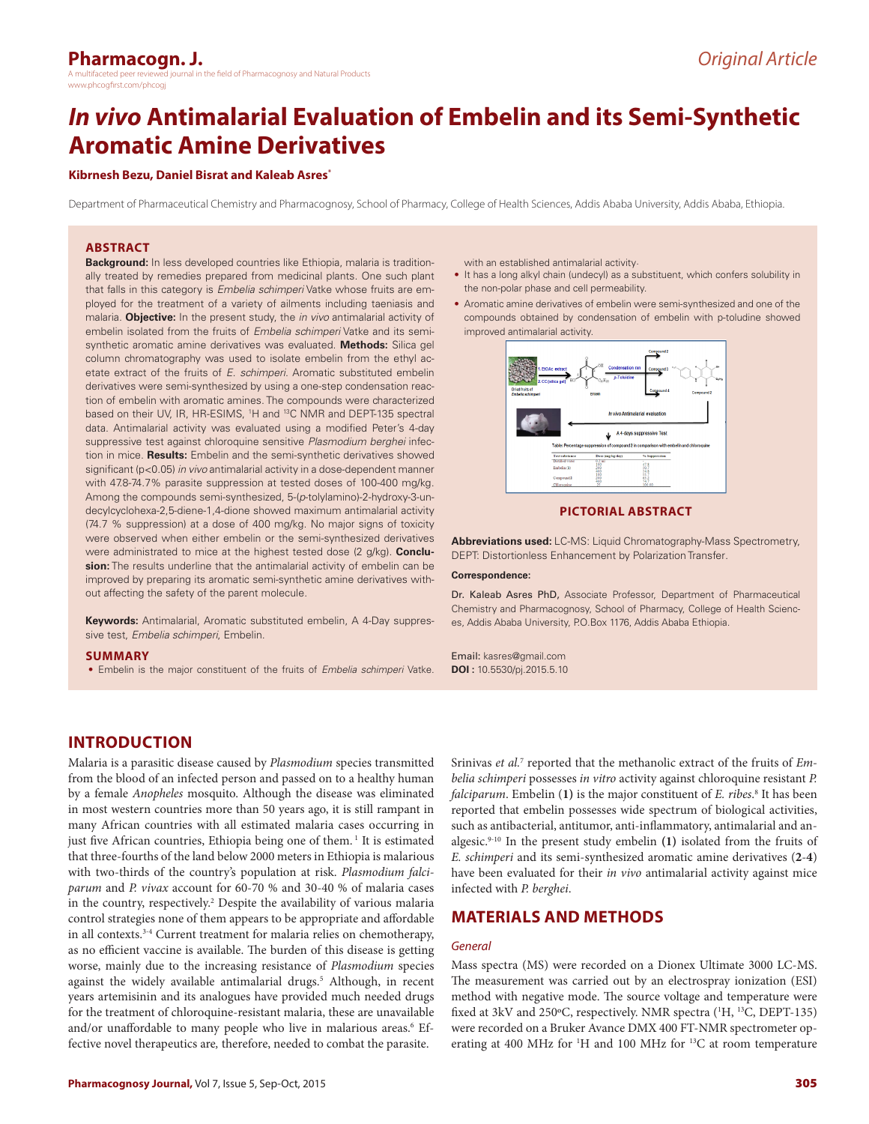## **Pharmacogn. J.**

h the field of Pharmacognosy and Natural Products www.phcogfirst.com/phcog

# *In vivo* **Antimalarial Evaluation of Embelin and its Semi-Synthetic Aromatic Amine Derivatives**

#### **Kibrnesh Bezu, Daniel Bisrat and Kaleab Asres\***

Department of Pharmaceutical Chemistry and Pharmacognosy, School of Pharmacy, College of Health Sciences, Addis Ababa University, Addis Ababa, Ethiopia.

#### **ABSTRACT**

**Background:** In less developed countries like Ethiopia, malaria is traditionally treated by remedies prepared from medicinal plants. One such plant that falls in this category is *Embelia schimperi* Vatke whose fruits are employed for the treatment of a variety of ailments including taeniasis and malaria. **Objective:** In the present study, the *in vivo* antimalarial activity of embelin isolated from the fruits of *Embelia schimperi* Vatke and its semisynthetic aromatic amine derivatives was evaluated. **Methods:** Silica gel column chromatography was used to isolate embelin from the ethyl acetate extract of the fruits of *E. schimperi*. Aromatic substituted embelin derivatives were semi-synthesized by using a one-step condensation reaction of embelin with aromatic amines. The compounds were characterized based on their UV, IR, HR-ESIMS, <sup>1</sup>H and <sup>13</sup>C NMR and DEPT-135 spectral data. Antimalarial activity was evaluated using a modified Peter's 4-day suppressive test against chloroquine sensitive *Plasmodium berghei* infection in mice. **Results:** Embelin and the semi-synthetic derivatives showed significant (p<0.05) *in vivo* antimalarial activity in a dose-dependent manner with 47.8-74.7% parasite suppression at tested doses of 100-400 mg/kg. Among the compounds semi-synthesized, 5-(*p*-tolylamino)-2-hydroxy-3-undecylcyclohexa-2,5-diene-1,4-dione showed maximum antimalarial activity (74.7 % suppression) at a dose of 400 mg/kg. No major signs of toxicity were observed when either embelin or the semi-synthesized derivatives were administrated to mice at the highest tested dose (2 g/kg). **Conclusion:** The results underline that the antimalarial activity of embelin can be improved by preparing its aromatic semi-synthetic amine derivatives without affecting the safety of the parent molecule.

**Keywords:** Antimalarial, Aromatic substituted embelin, A 4-Day suppressive test, *Embelia schimperi*, Embelin.

#### **SUMMARY**

• Embelin is the major constituent of the fruits of *Embelia schimperi* Vatke.

with an established antimalarial activity.

- It has a long alkyl chain (undecyl) as a substituent, which confers solubility in the non-polar phase and cell permeability.
- Aromatic amine derivatives of embelin were semi-synthesized and one of the compounds obtained by condensation of embelin with p-toludine showed improved antimalarial activity.



#### **PICTORIAL ABSTRACT**

**Abbreviations used:** LC-MS: Liquid Chromatography-Mass Spectrometry, DEPT: Distortionless Enhancement by Polarization Transfer*.*

#### **Correspondence:**

Dr. Kaleab Asres PhD, Associate Professor, Department of Pharmaceutical Chemistry and Pharmacognosy, School of Pharmacy, College of Health Sciences, Addis Ababa University, P.O.Box 1176, Addis Ababa Ethiopia.

Email: kasres@gmail.com **DOI :** 10.5530/pj.2015.5.10

## **INTRODUCTION**

Malaria is a parasitic disease caused by *Plasmodium* species transmitted from the blood of an infected person and passed on to a healthy human by a female *Anopheles* mosquito. Although the disease was eliminated in most western countries more than 50 years ago, it is still rampant in many African countries with all estimated malaria cases occurring in just five African countries, Ethiopia being one of them.<sup>1</sup> It is estimated that three-fourths of the land below 2000 meters in Ethiopia is malarious with two-thirds of the country's population at risk. *Plasmodium falciparum* and *P. vivax* account for 60-70 % and 30-40 % of malaria cases in the country, respectively.<sup>2</sup> Despite the availability of various malaria control strategies none of them appears to be appropriate and affordable in all contexts.3-4 Current treatment for malaria relies on chemotherapy, as no efficient vaccine is available. The burden of this disease is getting worse, mainly due to the increasing resistance of *Plasmodium* species against the widely available antimalarial drugs.<sup>5</sup> Although, in recent years artemisinin and its analogues have provided much needed drugs for the treatment of chloroquine-resistant malaria, these are unavailable and/or unaffordable to many people who live in malarious areas.<sup>6</sup> Effective novel therapeutics are*,* therefore, needed to combat the parasite.

Srinivas et al.<sup>7</sup> reported that the methanolic extract of the fruits of Em*belia schimperi* possesses *in vitro* activity against chloroquine resistant *P. falciparum*. Embelin (**1)** is the major constituent of *E. ribes*. 8 It has been reported that embelin possesses wide spectrum of biological activities, such as antibacterial, antitumor, anti-inflammatory, antimalarial and analgesic.9-10 In the present study embelin **(1)** isolated from the fruits of *E. schimperi* and its semi-synthesized aromatic amine derivatives (**2**-**4**) have been evaluated for their *in vivo* antimalarial activity against mice infected with *P. berghei*.

## **MATERIALS AND METHODS**

#### *General*

Mass spectra (MS) were recorded on a Dionex Ultimate 3000 LC-MS. The measurement was carried out by an electrospray ionization (ESI) method with negative mode. The source voltage and temperature were fixed at 3kV and 250°C, respectively. NMR spectra (<sup>1</sup>H, <sup>13</sup>C, DEPT-135) were recorded on a Bruker Avance DMX 400 FT-NMR spectrometer operating at 400 MHz for <sup>1</sup>H and 100 MHz for <sup>13</sup>C at room temperature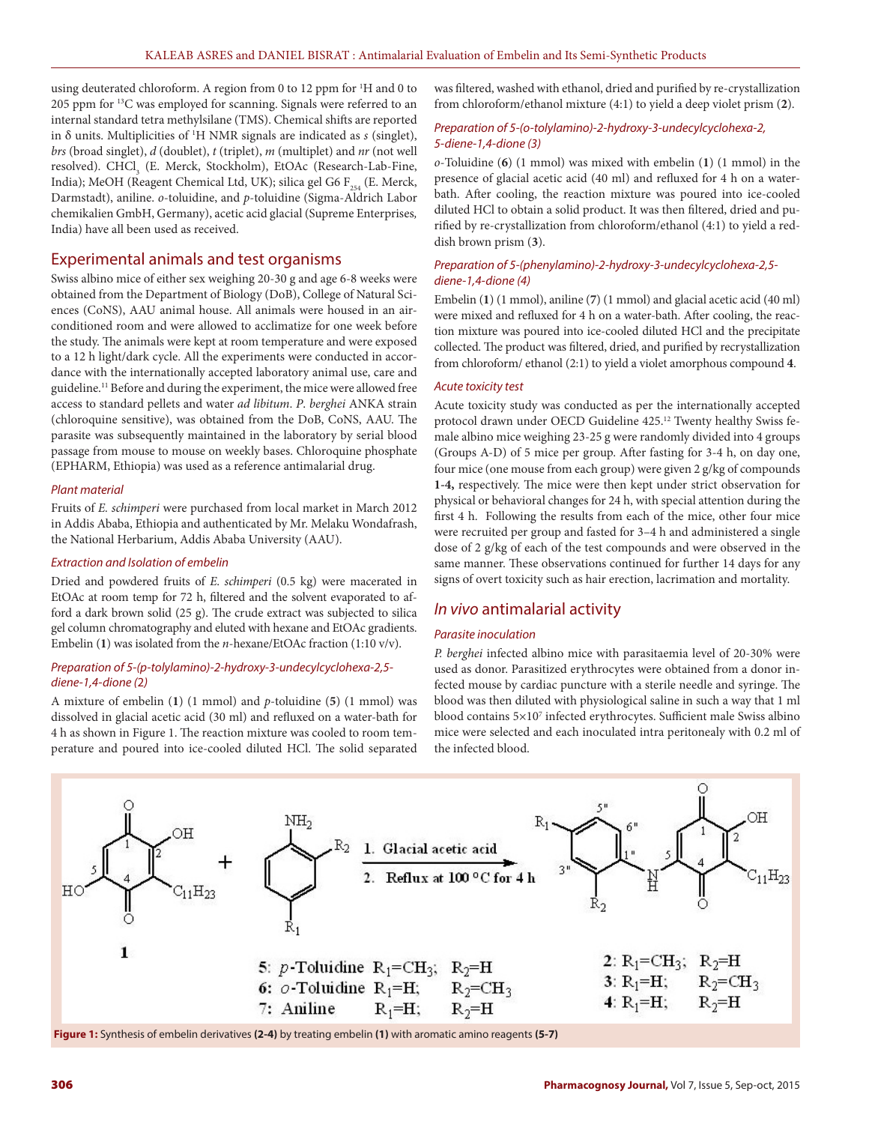using deuterated chloroform. A region from 0 to 12 ppm for <sup>1</sup>H and 0 to 205 ppm for 13C was employed for scanning. Signals were referred to an internal standard tetra methylsilane (TMS). Chemical shifts are reported in δ units. Multiplicities of 1 H NMR signals are indicated as *s* (singlet), *brs* (broad singlet), *d* (doublet), *t* (triplet), *m* (multiplet) and *nr* (not well resolved). CHCl<sub>3</sub> (E. Merck, Stockholm), EtOAc (Research-Lab-Fine, India); MeOH (Reagent Chemical Ltd, UK); silica gel G6  $F_{254}$  (E. Merck, Darmstadt), aniline. *o*-toluidine, and *p*-toluidine (Sigma-Aldrich Labor chemikalien GmbH, Germany), acetic acid glacial (Supreme Enterprises*,*  India) have all been used as received.

## Experimental animals and test organisms

Swiss albino mice of either sex weighing 20-30 g and age 6-8 weeks were obtained from the Department of Biology (DoB), College of Natural Sciences (CoNS), AAU animal house. All animals were housed in an airconditioned room and were allowed to acclimatize for one week before the study. The animals were kept at room temperature and were exposed to a 12 h light/dark cycle. All the experiments were conducted in accordance with the internationally accepted laboratory animal use, care and guideline.<sup>11</sup> Before and during the experiment, the mice were allowed free access to standard pellets and water *ad libitum*. *P*. *berghei* ANKA strain (chloroquine sensitive), was obtained from the DoB, CoNS, AAU. The parasite was subsequently maintained in the laboratory by serial blood passage from mouse to mouse on weekly bases. Chloroquine phosphate (EPHARM, Ethiopia) was used as a reference antimalarial drug.

#### *Plant material*

Fruits of *E. schimperi* were purchased from local market in March 2012 in Addis Ababa, Ethiopia and authenticated by Mr. Melaku Wondafrash, the National Herbarium, Addis Ababa University (AAU).

## *Extraction and Isolation of embelin*

Dried and powdered fruits of *E*. *schimperi* (0.5 kg) were macerated in EtOAc at room temp for 72 h, filtered and the solvent evaporated to afford a dark brown solid (25 g). The crude extract was subjected to silica gel column chromatography and eluted with hexane and EtOAc gradients. Embelin (**1**) was isolated from the *n*-hexane/EtOAc fraction (1:10 v/v).

#### *Preparation of 5-(p-tolylamino)-2-hydroxy-3-undecylcyclohexa-2,5 diene-1,4-dione (*2*)*

A mixture of embelin (**1**) (1 mmol) and *p*-toluidine (**5**) (1 mmol) was dissolved in glacial acetic acid (30 ml) and refluxed on a water-bath for 4 h as shown in Figure 1. The reaction mixture was cooled to room temperature and poured into ice-cooled diluted HCl. The solid separated was filtered, washed with ethanol, dried and purified by re-crystallization from chloroform/ethanol mixture (4:1) to yield a deep violet prism (**2**).

### *Preparation of 5-(o-tolylamino)-2-hydroxy-3-undecylcyclohexa-2, 5-diene-1,4-dione (3)*

*o*-Toluidine (**6**) (1 mmol) was mixed with embelin (**1**) (1 mmol) in the presence of glacial acetic acid (40 ml) and refluxed for 4 h on a waterbath. After cooling, the reaction mixture was poured into ice-cooled diluted HCl to obtain a solid product. It was then filtered, dried and purified by re-crystallization from chloroform/ethanol (4:1) to yield a reddish brown prism (**3**).

#### *Preparation of 5-(phenylamino)-2-hydroxy-3-undecylcyclohexa-2,5 diene-1,4-dione (4)*

Embelin (**1**) (1 mmol), aniline (**7**) (1 mmol) and glacial acetic acid (40 ml) were mixed and refluxed for 4 h on a water-bath. After cooling, the reaction mixture was poured into ice-cooled diluted HCl and the precipitate collected. The product was filtered, dried, and purified by recrystallization from chloroform/ ethanol (2:1) to yield a violet amorphous compound **4**.

#### *Acute toxicity test*

Acute toxicity study was conducted as per the internationally accepted protocol drawn under OECD Guideline 425.12 Twenty healthy Swiss female albino mice weighing 23-25 g were randomly divided into 4 groups (Groups A-D) of 5 mice per group. After fasting for 3-4 h, on day one, four mice (one mouse from each group) were given 2 g/kg of compounds **1-4,** respectively. The mice were then kept under strict observation for physical or behavioral changes for 24 h, with special attention during the first 4 h. Following the results from each of the mice, other four mice were recruited per group and fasted for 3–4 h and administered a single dose of 2 g/kg of each of the test compounds and were observed in the same manner. These observations continued for further 14 days for any signs of overt toxicity such as hair erection, lacrimation and mortality.

## *In vivo* antimalarial activity

#### *Parasite inoculation*

*P. berghei* infected albino mice with parasitaemia level of 20-30% were used as donor. Parasitized erythrocytes were obtained from a donor infected mouse by cardiac puncture with a sterile needle and syringe. The blood was then diluted with physiological saline in such a way that 1 ml blood contains 5×107 infected erythrocytes. Sufficient male Swiss albino mice were selected and each inoculated intra peritonealy with 0.2 ml of the infected blood.



**Figure 1:** Synthesis of embelin derivatives **(2-4)** by treating embelin **(1)** with aromatic amino reagents **(5-7)**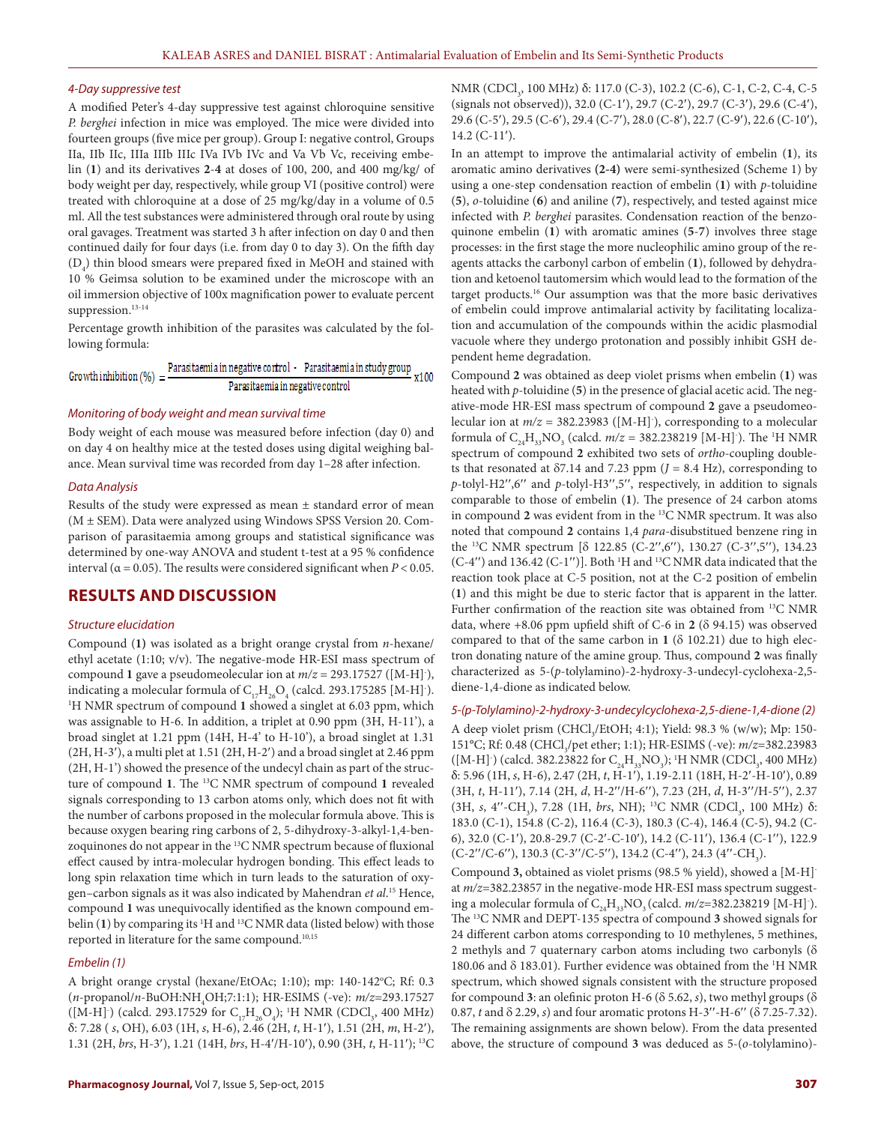#### *4-Day suppressive test*

A modified Peter's 4-day suppressive test against chloroquine sensitive *P. berghei* infection in mice was employed. The mice were divided into fourteen groups (five mice per group). Group I: negative control, Groups IIa, IIb IIc, IIIa IIIb IIIc IVa IVb IVc and Va Vb Vc, receiving embelin (**1**) and its derivatives **2**-**4** at doses of 100, 200, and 400 mg/kg/ of body weight per day, respectively, while group VI (positive control) were treated with chloroquine at a dose of 25 mg/kg/day in a volume of 0.5 ml. All the test substances were administered through oral route by using oral gavages. Treatment was started 3 h after infection on day 0 and then continued daily for four days (i.e. from day 0 to day 3). On the fifth day  $(D_4)$  thin blood smears were prepared fixed in MeOH and stained with 10 % Geimsa solution to be examined under the microscope with an oil immersion objective of 100x magnification power to evaluate percent suppression.<sup>13-14</sup>

Percentage growth inhibition of the parasites was calculated by the following formula:

| Growth inhibition $(\%) = \frac{12}{1}$ |                                  | Parasitaemia in negative control Parasitaemia in study group<br>x100 |
|-----------------------------------------|----------------------------------|----------------------------------------------------------------------|
|                                         | Parasitaemia in negative control |                                                                      |

#### *Monitoring of body weight and mean survival time*

Body weight of each mouse was measured before infection (day 0) and on day 4 on healthy mice at the tested doses using digital weighing balance. Mean survival time was recorded from day 1–28 after infection.

#### *Data Analysis*

Results of the study were expressed as mean ± standard error of mean (M ± SEM). Data were analyzed using Windows SPSS Version 20. Comparison of parasitaemia among groups and statistical significance was determined by one-way ANOVA and student t-test at a 95 % confidence interval ( $\alpha$  = 0.05). The results were considered significant when *P* < 0.05.

## **RESULTS AND DISCUSSION**

#### *Structure elucidation*

Compound (**1)** was isolated as a bright orange crystal from *n*-hexane/ ethyl acetate (1:10; v/v). The negative-mode HR-ESI mass spectrum of compound 1 gave a pseudomeolecular ion at  $m/z = 293.17527$  ([M-H]<sup>-</sup>), indicating a molecular formula of  $\text{C}_{17}\text{H}_{26}\text{O}_4$  (calcd. 293.175285 [M-H] ). <sup>1</sup>H NMR spectrum of compound 1 showed a singlet at 6.03 ppm, which was assignable to H-6. In addition, a triplet at 0.90 ppm (3H, H-11'), a broad singlet at 1.21 ppm (14H, H-4' to H-10'), a broad singlet at 1.31  $(2H, H-3')$ , a multi plet at 1.51  $(2H, H-2')$  and a broad singlet at 2.46 ppm (2H, H-1') showed the presence of the undecyl chain as part of the structure of compound **1**. The 13C NMR spectrum of compound **1** revealed signals corresponding to 13 carbon atoms only, which does not fit with the number of carbons proposed in the molecular formula above. This is because oxygen bearing ring carbons of 2, 5-dihydroxy-3-alkyl-1,4-benzoquinones do not appear in the 13C NMR spectrum because of fluxional effect caused by intra-molecular hydrogen bonding. This effect leads to long spin relaxation time which in turn leads to the saturation of oxygen–carbon signals as it was also indicated by Mahendran *et al*. 15 Hence, compound **1** was unequivocally identified as the known compound embelin (1) by comparing its <sup>1</sup>H and <sup>13</sup>C NMR data (listed below) with those reported in literature for the same compound.<sup>10,15</sup>

#### *Embelin (1)*

A bright orange crystal (hexane/EtOAc; 1:10); mp: 140-142°C; Rf: 0.3 (*n*-propanol/*n*-BuOH:NH4 OH;7:1:1); HR-ESIMS (-ve): *m/z*=293.17527 ([M-H]·) (calcd. 293.17529 for  $C_{17}H_{26}O_4$ ); <sup>1</sup>H NMR (CDCl<sub>3</sub>, 400 MHz) δ: 7.28 ( *s*, OH), 6.03 (1H, *s*, H-6), 2.46 (2H, *t*, H-1¢), 1.51 (2H, *m*, H-2¢), 1.31 (2H, *brs*, H-3'), 1.21 (14H, *brs*, H-4'/H-10'), 0.90 (3H, *t*, H-11'); <sup>13</sup>C

NMR (CDCl<sub>3</sub>, 100 MHz) δ: 117.0 (C-3), 102.2 (C-6), C-1, C-2, C-4, C-5 (signals not observed)), 32.0 (C-1'), 29.7 (C-2'), 29.7 (C-3'), 29.6 (C-4'), 29.6 (C-5'), 29.5 (C-6'), 29.4 (C-7'), 28.0 (C-8'), 22.7 (C-9'), 22.6 (C-10'),  $14.2$  (C-11').

In an attempt to improve the antimalarial activity of embelin (**1**), its aromatic amino derivatives **(2-4)** were semi-synthesized (Scheme 1) by using a one-step condensation reaction of embelin (**1**) with *p*-toluidine (**5**), *o*-toluidine (**6**) and aniline (**7**), respectively, and tested against mice infected with *P. berghei* parasites. Condensation reaction of the benzoquinone embelin (**1**) with aromatic amines (**5**-**7**) involves three stage processes: in the first stage the more nucleophilic amino group of the reagents attacks the carbonyl carbon of embelin (**1**), followed by dehydration and ketoenol tautomersim which would lead to the formation of the target products.16 Our assumption was that the more basic derivatives of embelin could improve antimalarial activity by facilitating localization and accumulation of the compounds within the acidic plasmodial vacuole where they undergo protonation and possibly inhibit GSH dependent heme degradation.

Compound **2** was obtained as deep violet prisms when embelin (**1**) was heated with *p*-toluidine (**5**) in the presence of glacial acetic acid. The negative-mode HR-ESI mass spectrum of compound **2** gave a pseudomeolecular ion at *m/z* = 382.23983 ([M-H]- ), corresponding to a molecular formula of  $C_{24}H_{33}NO_3$  (calcd.  $m/z = 382.238219$  [M-H]<sup>-</sup>). The <sup>1</sup>H NMR spectrum of compound **2** exhibited two sets of *ortho*-coupling doublets that resonated at  $\delta$ 7.14 and 7.23 ppm ( $J = 8.4$  Hz), corresponding to *p*-tolyl-H2",6" and *p*-tolyl-H3",5", respectively, in addition to signals comparable to those of embelin (**1**). The presence of 24 carbon atoms in compound **2** was evident from in the 13C NMR spectrum. It was also noted that compound **2** contains 1,4 *para*-disubstitued benzene ring in the <sup>13</sup>C NMR spectrum [ $\delta$  122.85 (C-2",6"), 130.27 (C-3",5"), 134.23  $(C-4'')$  and 136.42  $(C-1'')$ ]. Both <sup>1</sup>H and <sup>13</sup>C NMR data indicated that the reaction took place at C-5 position, not at the C-2 position of embelin (**1**) and this might be due to steric factor that is apparent in the latter. Further confirmation of the reaction site was obtained from 13C NMR data, where  $+8.06$  ppm upfield shift of C-6 in 2 ( $\delta$  94.15) was observed compared to that of the same carbon in  $1$  ( $\delta$  102.21) due to high electron donating nature of the amine group. Thus, compound **2** was finally characterized as 5-(*p*-tolylamino)-2-hydroxy-3-undecyl-cyclohexa-2,5 diene-1,4-dione as indicated below.

*5-(p-Tolylamino)-2-hydroxy-3-undecylcyclohexa-2,5-diene-1,4-dione (2)*

A deep violet prism (CHCl<sub>3</sub>/EtOH; 4:1); Yield: 98.3 % (w/w); Mp: 150-151°C; Rf: 0.48 (CHCl<sub>3</sub>/pet ether; 1:1); HR-ESIMS (-ve): *m/z*=382.23983  $([M-H]')$  (calcd. 382.23822 for  $C_{24}H_{33}NO_3$ ); <sup>1</sup>H NMR (CDCl<sub>3</sub>, 400 MHz) δ: 5.96 (1H, *s*, H-6), 2.47 (2H, *t*, H-1¢), 1.19-2.11 (18H, H-2¢-H-10¢), 0.89 (3H, *t*, H-11'), 7.14 (2H, *d*, H-2"/H-6"), 7.23 (2H, *d*, H-3"/H-5"), 2.37 (3H, *s*, 4''-CH<sub>3</sub>), 7.28 (1H, *brs*, NH); <sup>13</sup>C NMR (CDCl<sub>3</sub>, 100 MHz) δ: 183.0 (C-1), 154.8 (C-2), 116.4 (C-3), 180.3 (C-4), 146.4 (C-5), 94.2 (C-6), 32.0 (C-1'), 20.8-29.7 (C-2'-C-10'), 14.2 (C-11'), 136.4 (C-1''), 122.9  $(C-2''/C-6'')$ , 130.3  $(C-3''/C-5'')$ , 134.2  $(C-4'')$ , 24.3  $(4''-CH_3)$ .

Compound **3,** obtained as violet prisms (98.5 % yield), showed a [M-H] at *m/z*=382.23857 in the negative-mode HR-ESI mass spectrum suggesting a molecular formula of  $C_{24}H_{33}NO_3$  (calcd.  $m/z$ =382.238219 [M-H] ). The 13C NMR and DEPT-135 spectra of compound **3** showed signals for 24 different carbon atoms corresponding to 10 methylenes, 5 methines, 2 methyls and 7 quaternary carbon atoms including two carbonyls  $(\delta$ 180.06 and  $\delta$  183.01). Further evidence was obtained from the <sup>1</sup>H NMR spectrum, which showed signals consistent with the structure proposed for compound 3: an olefinic proton H-6 ( $\delta$  5.62, *s*), two methyl groups ( $\delta$ 0.87, *t* and  $\delta$  2.29, *s*) and four aromatic protons H-3"-H-6" ( $\delta$  7.25-7.32). The remaining assignments are shown below). From the data presented above, the structure of compound **3** was deduced as 5-(*o*-tolylamino)-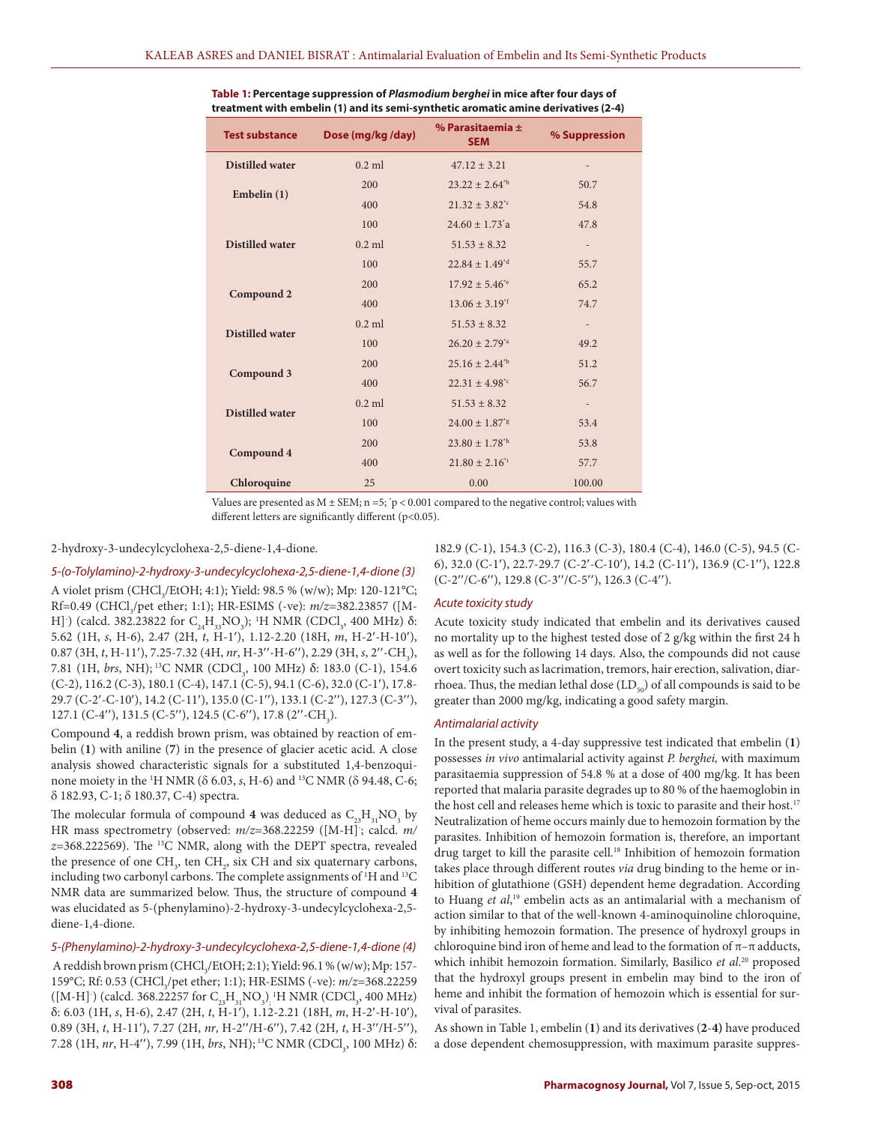| <b>Test substance</b>  | Dose (mg/kg/day) | % Parasitaemia $\pm$<br><b>SEM</b> | % Suppression            |
|------------------------|------------------|------------------------------------|--------------------------|
| <b>Distilled water</b> | $0.2$ ml         | $47.12 \pm 3.21$                   |                          |
| Embelin $(1)$          | 200              | $23.22 \pm 2.64^{\text{th}}$       | 50.7                     |
|                        | 400              | $21.32 \pm 3.82^{\text{te}}$       | 54.8                     |
| <b>Distilled water</b> | 100              | $24.60 \pm 1.73$ <sup>*</sup> a    | 47.8                     |
|                        | $0.2$ ml         | $51.53 \pm 8.32$                   | $\overline{\phantom{a}}$ |
|                        | 100              | $22.84 \pm 1.49^{\text{rd}}$       | 55.7                     |
| Compound 2             | 200              | $17.92 \pm 5.46^{\circ}$           | 65.2                     |
|                        | 400              | $13.06 \pm 3.19$ <sup>*f</sup>     | 74.7                     |
| <b>Distilled water</b> | $0.2$ ml         | $51.53 \pm 8.32$                   | $\overline{\phantom{a}}$ |
|                        | 100              | $26.20 \pm 2.79^{4}$               | 49.2                     |
| Compound 3             | 200              | $25.16 \pm 2.44^{\text{th}}$       | 51.2                     |
|                        | 400              | $22.31 \pm 4.98^{\text{*c}}$       | 56.7                     |
| <b>Distilled water</b> | $0.2$ ml         | $51.53 \pm 8.32$                   | $\overline{\phantom{a}}$ |
|                        | 100              | $24.00 \pm 1.87$ <sup>*g</sup>     | 53.4                     |
| Compound 4             | 200              | $23.80 \pm 1.78^{\text{th}}$       | 53.8                     |
|                        | 400              | $21.80 \pm 2.16$ <sup>*i</sup>     | 57.7                     |
| Chloroquine            | 25               | 0.00                               | 100.00                   |

| Table 1: Percentage suppression of <i>Plasmodium berghei</i> in mice after four days of |
|-----------------------------------------------------------------------------------------|
| treatment with embelin (1) and its semi-synthetic aromatic amine derivatives (2-4)      |

Values are presented as  $M \pm SEM$ ;  $n = 5$ ; 'p < 0.001 compared to the negative control; values with different letters are significantly different (p<0.05).

2-hydroxy-3-undecylcyclohexa-2,5-diene-1,4-dione.

*5-(o-Tolylamino)-2-hydroxy-3-undecylcyclohexa-2,5-diene-1,4-dione (3)* A violet prism (CHCl<sub>3</sub>/EtOH; 4:1); Yield: 98.5 % (w/w); Mp: 120-121°C; Rf=0.49 (CHCl<sub>3</sub>/pet ether; 1:1); HR-ESIMS (-ve): *m/z*=382.23857 ([M-H] (calcd. 382.23822 for C<sub>24</sub>H<sub>33</sub>NO<sub>3</sub>); <sup>1</sup>H NMR (CDCl<sub>3</sub>, 400 MHz) δ: 5.62 (1H, *s*, H-6), 2.47 (2H, *t*, H-1'), 1.12-2.20 (18H, *m*, H-2'-H-10'), 0.87 (3H, *t*, H-11'), 7.25-7.32 (4H, *nr*, H-3''-H-6''), 2.29 (3H, *s*, 2''-CH<sub>3</sub>), 7.81 (1H, *brs*, NH); <sup>13</sup>C NMR (CDCl<sub>3</sub>, 100 MHz) δ: 183.0 (C-1), 154.6  $(C-2)$ , 116.2  $(C-3)$ , 180.1  $(C-4)$ , 147.1  $(C-5)$ , 94.1  $(C-6)$ , 32.0  $(C-1')$ , 17.8-29.7 (C-2'-C-10'), 14.2 (C-11'), 135.0 (C-1''), 133.1 (C-2''), 127.3 (C-3''), 127.1 (C-4"), 131.5 (C-5"), 124.5 (C-6"), 17.8 (2"-CH<sub>3</sub>).

Compound **4**, a reddish brown prism, was obtained by reaction of embelin (**1**) with aniline (**7**) in the presence of glacier acetic acid. A close analysis showed characteristic signals for a substituted 1,4-benzoquinone moiety in the <sup>1</sup>H NMR ( $\delta$  6.03, *s*, H-6) and <sup>13</sup>C NMR ( $\delta$  94.48, C-6; d 182.93, C-1; d 180.37, C-4) spectra.

The molecular formula of compound  $4$  was deduced as  $C_{23}H_{31}NO_3$  by HR mass spectrometry (observed: *m/z*=368.22259 ([M-H]- ; calcd. *m/ z*=368.222569). The 13C NMR, along with the DEPT spectra, revealed the presence of one  $CH<sub>3</sub>$ , ten  $CH<sub>2</sub>$ , six CH and six quaternary carbons, including two carbonyl carbons. The complete assignments of <sup>1</sup>H and <sup>13</sup>C NMR data are summarized below. Thus, the structure of compound **4** was elucidated as 5-(phenylamino)-2-hydroxy-3-undecylcyclohexa-2,5 diene-1,4-dione.

#### *5-(Phenylamino)-2-hydroxy-3-undecylcyclohexa-2,5-diene-1,4-dione (4)*

A reddish brown prism (CHCl<sub>3</sub>/EtOH; 2:1); Yield: 96.1 % (w/w); Mp: 157-159°C; Rf: 0.53 (CHCl<sub>3</sub>/pet ether; 1:1); HR-ESIMS (-ve): *m/z*=368.22259 ([M-H]·) (calcd. 368.22257 for  $C_{23}H_{31}NO_{3}$ )<sub>;</sub> 'H NMR (CDCl<sub>3</sub>, 400 MHz) δ: 6.03 (1H, *s*, H-6), 2.47 (2H, *t*, H-1¢), 1.12-2.21 (18H, *m*, H-2¢-H-10¢), 0.89 (3H, *t*, H-11'), 7.27 (2H, nr, H-2"/H-6"), 7.42 (2H, *t*, H-3"/H-5"), 7.28 (1H, *nr*, H-4''), 7.99 (1H, *brs*, NH); <sup>13</sup>C NMR (CDCl<sub>3</sub>, 100 MHz) δ: 182.9 (C-1), 154.3 (C-2), 116.3 (C-3), 180.4 (C-4), 146.0 (C-5), 94.5 (C-6), 32.0 (C-1'), 22.7-29.7 (C-2'-C-10'), 14.2 (C-11'), 136.9 (C-1''), 122.8  $(C-2''/C-6'')$ , 129.8  $(C-3''/C-5'')$ , 126.3  $(C-4'')$ .

#### *Acute toxicity study*

Acute toxicity study indicated that embelin and its derivatives caused no mortality up to the highest tested dose of 2 g/kg within the first 24 h as well as for the following 14 days. Also, the compounds did not cause overt toxicity such as lacrimation, tremors, hair erection, salivation, diarrhoea. Thus, the median lethal dose  $(LD_{50})$  of all compounds is said to be greater than 2000 mg/kg, indicating a good safety margin.

#### *Antimalarial activity*

In the present study, a 4-day suppressive test indicated that embelin (**1**) possesses *in vivo* antimalarial activity against *P. berghei,* with maximum parasitaemia suppression of 54.8 % at a dose of 400 mg/kg. It has been reported that malaria parasite degrades up to 80 % of the haemoglobin in the host cell and releases heme which is toxic to parasite and their host.<sup>17</sup> Neutralization of heme occurs mainly due to hemozoin formation by the parasites. Inhibition of hemozoin formation is, therefore, an important drug target to kill the parasite cell.<sup>18</sup> Inhibition of hemozoin formation takes place through different routes *via* drug binding to the heme or inhibition of glutathione (GSH) dependent heme degradation. According to Huang *et al*, 19 embelin acts as an antimalarial with a mechanism of action similar to that of the well-known 4-aminoquinoline chloroquine, by inhibiting hemozoin formation. The presence of hydroxyl groups in chloroquine bind iron of heme and lead to the formation of  $\pi$ – $\pi$  adducts, which inhibit hemozoin formation. Similarly, Basilico *et al*. 20 proposed that the hydroxyl groups present in embelin may bind to the iron of heme and inhibit the formation of hemozoin which is essential for survival of parasites.

As shown in Table 1, embelin (**1**) and its derivatives (**2**-**4)** have produced a dose dependent chemosuppression, with maximum parasite suppres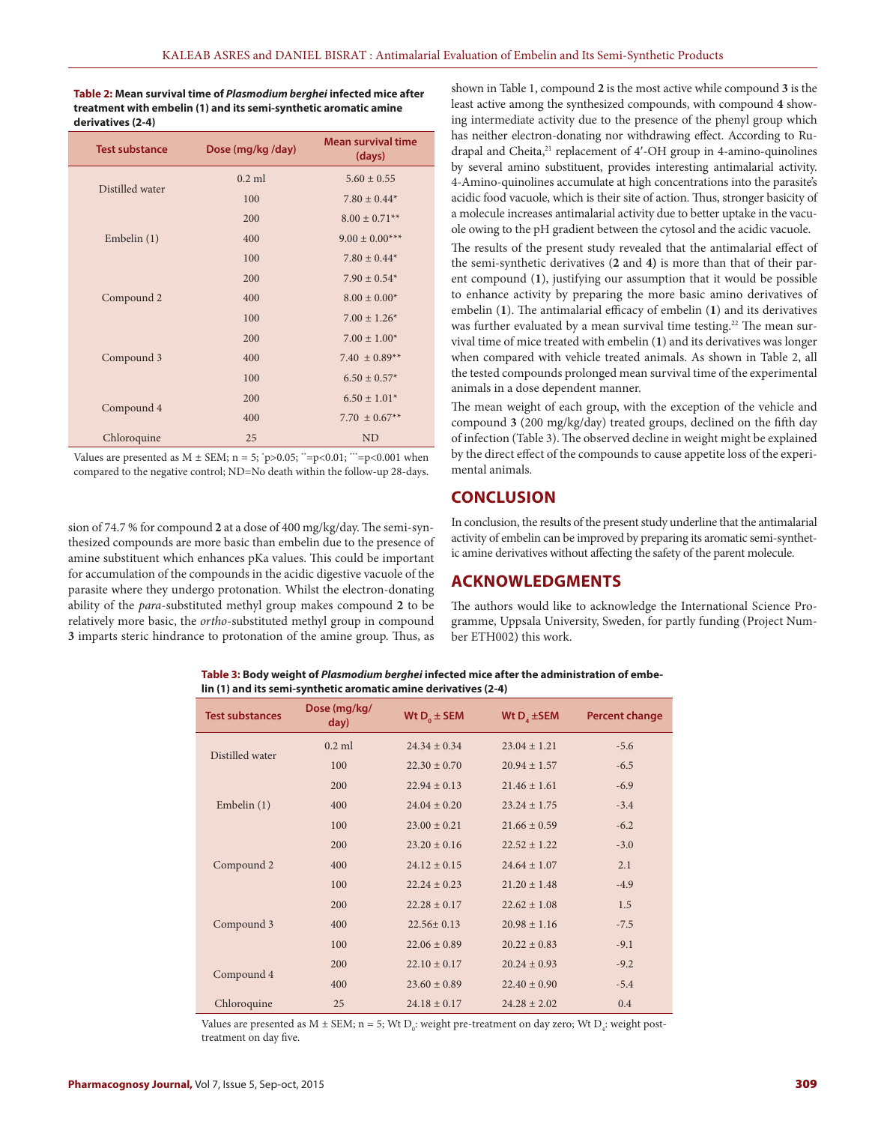**Table 2: Mean survival time of** *Plasmodium berghei* **infected mice after treatment with embelin (1) and its semi-synthetic aromatic amine derivatives (2-4)**

| <b>Test substance</b> | Dose (mg/kg /day) | <b>Mean survival time</b><br>(days) |
|-----------------------|-------------------|-------------------------------------|
|                       | $0.2$ ml          | $5.60 \pm 0.55$                     |
| Distilled water       | 100               | $7.80 \pm 0.44*$                    |
|                       | 200               | $8.00 \pm 0.71$ <sup>**</sup>       |
| Embelin $(1)$         | 400               | $9.00 \pm 0.00$ ***                 |
|                       | 100               | $7.80 \pm 0.44*$                    |
|                       | 200               | $7.90 \pm 0.54*$                    |
| Compound 2            | 400               | $8.00 \pm 0.00*$                    |
|                       | 100               | $7.00 \pm 1.26^*$                   |
|                       | 200               | $7.00 \pm 1.00^*$                   |
| Compound 3            | 400               | 7.40 $\pm$ 0.89**                   |
|                       | 100               | $6.50 \pm 0.57$ *                   |
|                       | 200               | $6.50 \pm 1.01*$                    |
| Compound 4            | 400               | 7.70 $\pm$ 0.67**                   |
| Chloroquine           | 25                | N <sub>D</sub>                      |

Values are presented as  $M \pm SEM$ ;  $n = 5$ ;  $\gamma p > 0.05$ ;  $\gamma^* = p < 0.01$ ;  $\gamma^* = p < 0.001$  when compared to the negative control; ND=No death within the follow-up 28-days.

sion of 74.7 % for compound **2** at a dose of 400 mg/kg/day. The semi-synthesized compounds are more basic than embelin due to the presence of amine substituent which enhances pKa values. This could be important for accumulation of the compounds in the acidic digestive vacuole of the parasite where they undergo protonation. Whilst the electron-donating ability of the *para*-substituted methyl group makes compound **2** to be relatively more basic, the *ortho*-substituted methyl group in compound **3** imparts steric hindrance to protonation of the amine group. Thus, as

shown in Table 1, compound **2** is the most active while compound **3** is the least active among the synthesized compounds, with compound **4** showing intermediate activity due to the presence of the phenyl group which has neither electron-donating nor withdrawing effect. According to Rudrapal and Cheita,<sup>21</sup> replacement of 4'-OH group in 4-amino-quinolines by several amino substituent, provides interesting antimalarial activity. 4-Amino-quinolines accumulate at high concentrations into the parasite's acidic food vacuole, which is their site of action. Thus, stronger basicity of a molecule increases antimalarial activity due to better uptake in the vacuole owing to the pH gradient between the cytosol and the acidic vacuole.

The results of the present study revealed that the antimalarial effect of the semi-synthetic derivatives (**2** and **4)** is more than that of their parent compound (**1**), justifying our assumption that it would be possible to enhance activity by preparing the more basic amino derivatives of embelin (**1**). The antimalarial efficacy of embelin (**1**) and its derivatives was further evaluated by a mean survival time testing.<sup>22</sup> The mean survival time of mice treated with embelin (**1**) and its derivatives was longer when compared with vehicle treated animals. As shown in Table 2, all the tested compounds prolonged mean survival time of the experimental animals in a dose dependent manner.

The mean weight of each group, with the exception of the vehicle and compound **3** (200 mg/kg/day) treated groups, declined on the fifth day of infection (Table 3). The observed decline in weight might be explained by the direct effect of the compounds to cause appetite loss of the experimental animals.

## **CONCLUSION**

In conclusion, the results of the present study underline that the antimalarial activity of embelin can be improved by preparing its aromatic semi-synthetic amine derivatives without affecting the safety of the parent molecule.

## **ACKNOWLEDGMENTS**

The authors would like to acknowledge the International Science Programme, Uppsala University, Sweden, for partly funding (Project Number ETH002) this work.

| Table 3: Body weight of <i>Plasmodium berghei</i> infected mice after the administration of embe- |
|---------------------------------------------------------------------------------------------------|
| lin (1) and its semi-synthetic aromatic amine derivatives (2-4)                                   |

| <b>Test substances</b> | Dose (mg/kg/<br>day) | Wt $D_0 \pm$ SEM | Wt $D_4 \pm$ SEM | <b>Percent change</b> |
|------------------------|----------------------|------------------|------------------|-----------------------|
| Distilled water        | $0.2$ ml             | $24.34 \pm 0.34$ | $23.04 \pm 1.21$ | $-5.6$                |
|                        | 100                  | $22.30 \pm 0.70$ | $20.94 \pm 1.57$ | $-6.5$                |
| Embelin $(1)$          | 200                  | $22.94 \pm 0.13$ | $21.46 \pm 1.61$ | $-6.9$                |
|                        | 400                  | $24.04 \pm 0.20$ | $23.24 \pm 1.75$ | $-3.4$                |
|                        | 100                  | $23.00 \pm 0.21$ | $21.66 \pm 0.59$ | $-6.2$                |
| Compound 2             | 200                  | $23.20 \pm 0.16$ | $22.52 \pm 1.22$ | $-3.0$                |
|                        | 400                  | $24.12 \pm 0.15$ | $24.64 \pm 1.07$ | 2.1                   |
|                        | 100                  | $22.24 \pm 0.23$ | $21.20 \pm 1.48$ | $-4.9$                |
| Compound 3             | 200                  | $22.28 \pm 0.17$ | $22.62 \pm 1.08$ | 1.5                   |
|                        | 400                  | $22.56 \pm 0.13$ | $20.98 \pm 1.16$ | $-7.5$                |
|                        | 100                  | $22.06 \pm 0.89$ | $20.22 \pm 0.83$ | $-9.1$                |
| Compound 4             | 200                  | $22.10 \pm 0.17$ | $20.24 \pm 0.93$ | $-9.2$                |
|                        | 400                  | $23.60 \pm 0.89$ | $22.40 \pm 0.90$ | $-5.4$                |
| Chloroquine            | 25                   | $24.18 \pm 0.17$ | $24.28 \pm 2.02$ | 0.4                   |

Values are presented as M  $\pm$  SEM; n = 5; Wt D<sub>0</sub>: weight pre-treatment on day zero; Wt D<sub>4</sub>: weight posttreatment on day five.